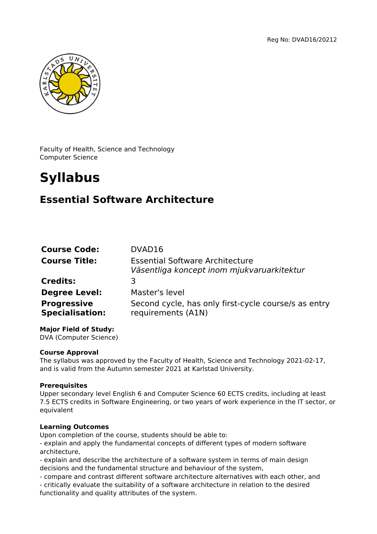

Faculty of Health, Science and Technology Computer Science

# **Syllabus**

# **Essential Software Architecture**

| <b>Course Code:</b>                          | DVAD16                                                                               |
|----------------------------------------------|--------------------------------------------------------------------------------------|
| <b>Course Title:</b>                         | <b>Essential Software Architecture</b><br>Väsentliga koncept inom mjukvaruarkitektur |
| <b>Credits:</b>                              | 3                                                                                    |
| <b>Degree Level:</b>                         | Master's level                                                                       |
| <b>Progressive</b><br><b>Specialisation:</b> | Second cycle, has only first-cycle course/s as entry<br>requirements (A1N)           |

# **Major Field of Study:**

DVA (Computer Science)

#### **Course Approval**

The syllabus was approved by the Faculty of Health, Science and Technology 2021-02-17, and is valid from the Autumn semester 2021 at Karlstad University.

# **Prerequisites**

Upper secondary level English 6 and Computer Science 60 ECTS credits, including at least 7.5 ECTS credits in Software Engineering, or two years of work experience in the IT sector, or equivalent

# **Learning Outcomes**

Upon completion of the course, students should be able to:

- explain and apply the fundamental concepts of different types of modern software architecture,

- explain and describe the architecture of a software system in terms of main design decisions and the fundamental structure and behaviour of the system,

- compare and contrast different software architecture alternatives with each other, and

- critically evaluate the suitability of a software architecture in relation to the desired functionality and quality attributes of the system.